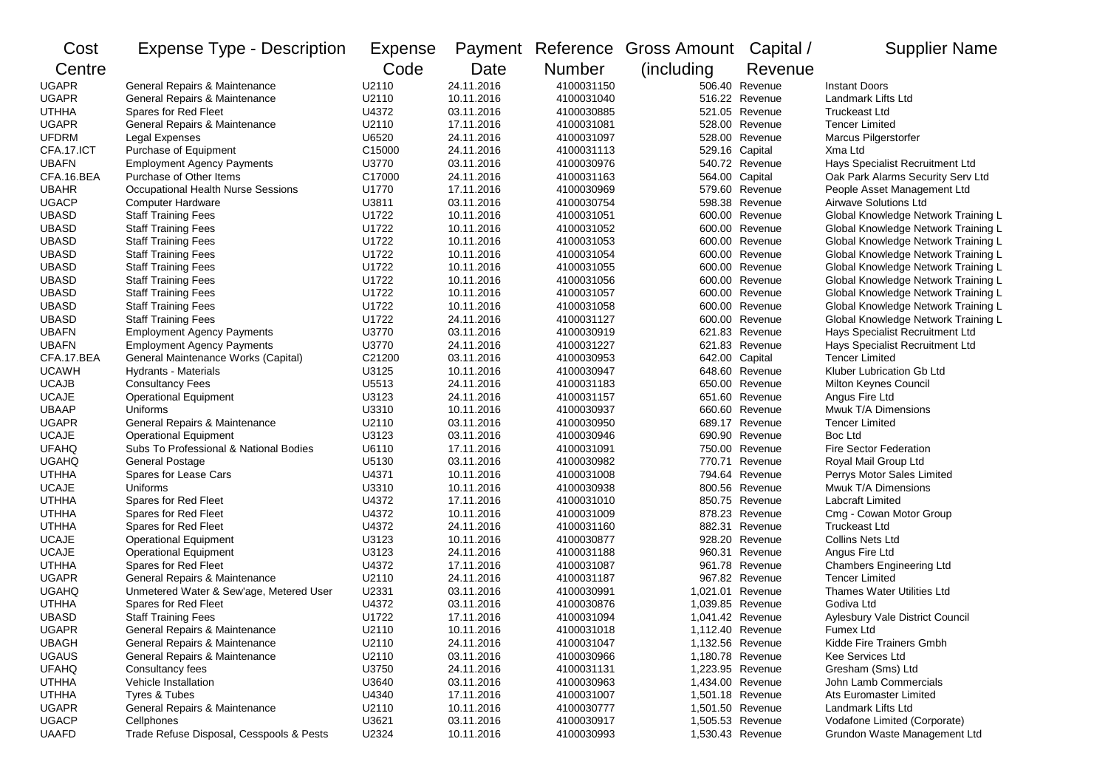| Cost         | <b>Expense Type - Description</b>        | Expense |            |               | Payment Reference Gross Amount Capital / |                  | <b>Supplier Name</b>                |
|--------------|------------------------------------------|---------|------------|---------------|------------------------------------------|------------------|-------------------------------------|
| Centre       |                                          | Code    | Date       | <b>Number</b> | (including)                              | Revenue          |                                     |
| <b>UGAPR</b> | General Repairs & Maintenance            | U2110   | 24.11.2016 | 4100031150    |                                          | 506.40 Revenue   | <b>Instant Doors</b>                |
| <b>UGAPR</b> | General Repairs & Maintenance            | U2110   | 10.11.2016 | 4100031040    |                                          | 516.22 Revenue   | Landmark Lifts Ltd                  |
| <b>UTHHA</b> | Spares for Red Fleet                     | U4372   | 03.11.2016 | 4100030885    |                                          | 521.05 Revenue   | <b>Truckeast Ltd</b>                |
| <b>UGAPR</b> | General Repairs & Maintenance            | U2110   | 17.11.2016 | 4100031081    |                                          | 528.00 Revenue   | <b>Tencer Limited</b>               |
| <b>UFDRM</b> | Legal Expenses                           | U6520   | 24.11.2016 | 4100031097    |                                          | 528.00 Revenue   | Marcus Pilgerstorfer                |
| CFA.17.ICT   | Purchase of Equipment                    | C15000  | 24.11.2016 | 4100031113    | 529.16 Capital                           |                  | Xma Ltd                             |
| <b>UBAFN</b> | <b>Employment Agency Payments</b>        | U3770   | 03.11.2016 | 4100030976    |                                          | 540.72 Revenue   | Hays Specialist Recruitment Ltd     |
| CFA.16.BEA   | Purchase of Other Items                  | C17000  | 24.11.2016 | 4100031163    | 564.00 Capital                           |                  | Oak Park Alarms Security Serv Ltd   |
| <b>UBAHR</b> | Occupational Health Nurse Sessions       | U1770   | 17.11.2016 | 4100030969    |                                          | 579.60 Revenue   | People Asset Management Ltd         |
| <b>UGACP</b> | <b>Computer Hardware</b>                 | U3811   | 03.11.2016 | 4100030754    |                                          | 598.38 Revenue   | <b>Airwave Solutions Ltd</b>        |
| <b>UBASD</b> | <b>Staff Training Fees</b>               | U1722   | 10.11.2016 | 4100031051    |                                          | 600.00 Revenue   | Global Knowledge Network Training L |
| <b>UBASD</b> | <b>Staff Training Fees</b>               | U1722   | 10.11.2016 | 4100031052    |                                          | 600.00 Revenue   | Global Knowledge Network Training L |
| <b>UBASD</b> | <b>Staff Training Fees</b>               | U1722   | 10.11.2016 | 4100031053    |                                          | 600.00 Revenue   | Global Knowledge Network Training L |
| <b>UBASD</b> | <b>Staff Training Fees</b>               | U1722   | 10.11.2016 | 4100031054    |                                          | 600.00 Revenue   | Global Knowledge Network Training L |
| <b>UBASD</b> | <b>Staff Training Fees</b>               | U1722   | 10.11.2016 | 4100031055    |                                          | 600.00 Revenue   | Global Knowledge Network Training L |
| <b>UBASD</b> | <b>Staff Training Fees</b>               | U1722   | 10.11.2016 | 4100031056    |                                          | 600.00 Revenue   | Global Knowledge Network Training L |
| <b>UBASD</b> | <b>Staff Training Fees</b>               | U1722   | 10.11.2016 | 4100031057    |                                          | 600.00 Revenue   | Global Knowledge Network Training L |
| <b>UBASD</b> | <b>Staff Training Fees</b>               | U1722   | 10.11.2016 | 4100031058    |                                          | 600.00 Revenue   | Global Knowledge Network Training L |
| <b>UBASD</b> | <b>Staff Training Fees</b>               | U1722   | 24.11.2016 | 4100031127    |                                          | 600.00 Revenue   | Global Knowledge Network Training L |
| <b>UBAFN</b> | <b>Employment Agency Payments</b>        | U3770   | 03.11.2016 | 4100030919    |                                          | 621.83 Revenue   | Hays Specialist Recruitment Ltd     |
| <b>UBAFN</b> | <b>Employment Agency Payments</b>        | U3770   | 24.11.2016 | 4100031227    |                                          | 621.83 Revenue   | Hays Specialist Recruitment Ltd     |
| CFA.17.BEA   | General Maintenance Works (Capital)      | C21200  | 03.11.2016 | 4100030953    | 642.00 Capital                           |                  | <b>Tencer Limited</b>               |
| <b>UCAWH</b> | Hydrants - Materials                     | U3125   | 10.11.2016 | 4100030947    |                                          | 648.60 Revenue   | Kluber Lubrication Gb Ltd           |
| <b>UCAJB</b> | <b>Consultancy Fees</b>                  | U5513   | 24.11.2016 | 4100031183    |                                          | 650.00 Revenue   | Milton Keynes Council               |
| <b>UCAJE</b> | <b>Operational Equipment</b>             | U3123   | 24.11.2016 | 4100031157    |                                          | 651.60 Revenue   | Angus Fire Ltd                      |
| <b>UBAAP</b> | Uniforms                                 | U3310   | 10.11.2016 | 4100030937    |                                          | 660.60 Revenue   | Mwuk T/A Dimensions                 |
| <b>UGAPR</b> | General Repairs & Maintenance            | U2110   | 03.11.2016 | 4100030950    |                                          | 689.17 Revenue   | <b>Tencer Limited</b>               |
| <b>UCAJE</b> | <b>Operational Equipment</b>             | U3123   | 03.11.2016 | 4100030946    |                                          | 690.90 Revenue   | Boc Ltd                             |
| <b>UFAHQ</b> | Subs To Professional & National Bodies   | U6110   | 17.11.2016 | 4100031091    |                                          | 750.00 Revenue   | <b>Fire Sector Federation</b>       |
| <b>UGAHQ</b> | General Postage                          | U5130   | 03.11.2016 | 4100030982    |                                          | 770.71 Revenue   | Royal Mail Group Ltd                |
| <b>UTHHA</b> | Spares for Lease Cars                    | U4371   | 10.11.2016 | 4100031008    |                                          | 794.64 Revenue   | Perrys Motor Sales Limited          |
| <b>UCAJE</b> | Uniforms                                 | U3310   | 10.11.2016 | 4100030938    |                                          | 800.56 Revenue   | Mwuk T/A Dimensions                 |
| <b>UTHHA</b> | Spares for Red Fleet                     | U4372   | 17.11.2016 | 4100031010    |                                          | 850.75 Revenue   | Labcraft Limited                    |
| <b>UTHHA</b> | Spares for Red Fleet                     | U4372   | 10.11.2016 | 4100031009    |                                          | 878.23 Revenue   | Cmg - Cowan Motor Group             |
| <b>UTHHA</b> | Spares for Red Fleet                     | U4372   | 24.11.2016 | 4100031160    |                                          | 882.31 Revenue   | <b>Truckeast Ltd</b>                |
| <b>UCAJE</b> | <b>Operational Equipment</b>             | U3123   | 10.11.2016 | 4100030877    |                                          | 928.20 Revenue   | <b>Collins Nets Ltd</b>             |
| <b>UCAJE</b> | <b>Operational Equipment</b>             | U3123   | 24.11.2016 | 4100031188    |                                          | 960.31 Revenue   | Angus Fire Ltd                      |
| <b>UTHHA</b> | Spares for Red Fleet                     | U4372   | 17.11.2016 | 4100031087    |                                          | 961.78 Revenue   | <b>Chambers Engineering Ltd</b>     |
| <b>UGAPR</b> | General Repairs & Maintenance            | U2110   | 24.11.2016 | 4100031187    |                                          | 967.82 Revenue   | <b>Tencer Limited</b>               |
| <b>UGAHQ</b> | Unmetered Water & Sew'age, Metered User  | U2331   | 03.11.2016 | 4100030991    | 1,021.01 Revenue                         |                  | Thames Water Utilities Ltd          |
| <b>UTHHA</b> | Spares for Red Fleet                     | U4372   | 03.11.2016 | 4100030876    |                                          | 1.039.85 Revenue | Godiva Ltd                          |
| <b>UBASD</b> | <b>Staff Training Fees</b>               | U1722   | 17.11.2016 | 4100031094    | 1,041.42 Revenue                         |                  | Aylesbury Vale District Council     |
| <b>UGAPR</b> | General Repairs & Maintenance            | U2110   | 10.11.2016 | 4100031018    | 1,112.40 Revenue                         |                  | Fumex Ltd                           |
| <b>UBAGH</b> | General Repairs & Maintenance            | U2110   | 24.11.2016 | 4100031047    |                                          | 1,132.56 Revenue | Kidde Fire Trainers Gmbh            |
| <b>UGAUS</b> | General Repairs & Maintenance            | U2110   | 03.11.2016 | 4100030966    | 1,180.78 Revenue                         |                  | Kee Services Ltd                    |
| <b>UFAHQ</b> | Consultancy fees                         | U3750   | 24.11.2016 | 4100031131    | 1,223.95 Revenue                         |                  | Gresham (Sms) Ltd                   |
| <b>UTHHA</b> | Vehicle Installation                     | U3640   | 03.11.2016 | 4100030963    |                                          | 1,434.00 Revenue | John Lamb Commercials               |
| <b>UTHHA</b> | Tyres & Tubes                            | U4340   | 17.11.2016 | 4100031007    |                                          | 1,501.18 Revenue | Ats Euromaster Limited              |
| <b>UGAPR</b> | General Repairs & Maintenance            | U2110   | 10.11.2016 | 4100030777    | 1,501.50 Revenue                         |                  | Landmark Lifts Ltd                  |
| <b>UGACP</b> | Cellphones                               | U3621   | 03.11.2016 | 4100030917    | 1,505.53 Revenue                         |                  | Vodafone Limited (Corporate)        |
| <b>UAAFD</b> | Trade Refuse Disposal, Cesspools & Pests | U2324   | 10.11.2016 | 4100030993    | 1,530.43 Revenue                         |                  | Grundon Waste Management Ltd        |